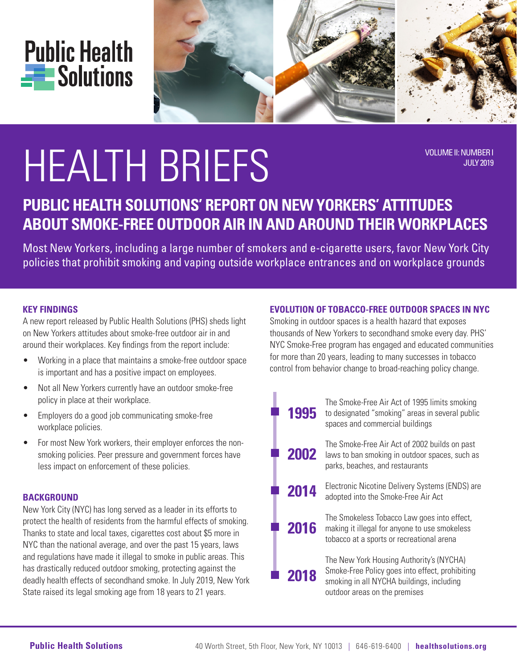

# HEALTH BRIEFS VOLUME II: NUMBER I

JULY 2019

# **PUBLIC HEALTH SOLUTIONS' REPORT ON NEW YORKERS' ATTITUDES ABOUT SMOKE-FREE OUTDOOR AIR IN AND AROUND THEIR WORKPLACES**

Most New Yorkers, including a large number of smokers and e-cigarette users, favor New York City policies that prohibit smoking and vaping outside workplace entrances and on workplace grounds

## **KEY FINDINGS**

A new report released by Public Health Solutions (PHS) sheds light on New Yorkers attitudes about smoke-free outdoor air in and around their workplaces. Key findings from the report include:

- Working in a place that maintains a smoke-free outdoor space Working in a place that maintains a smoke-free outdo<br>is important and has a positive impact on employees.
- Not all New Yorkers currently have an outdoor smoke-free to control tender can sing the called single single single single single single single single public smokes  $\overline{\phantom{a}}$  place at their workplace.
- Employers do a good job communicating smoke-free workplace policies.
- For most New York workers, their employer enforces the nonsmoking policies. Peer pressure and government forces have less impact on enforcement of these policies.

#### **BACKGROUND**

New York City (NYC) has long served as a leader in its efforts to New York City (NYC) has long served as a leader in its efforts to<br>protect the health of residents from the harmful effects of smoking. Thanks to state and local taxes, cigarettes cost about \$5 more in NYC than the national average, and over the past 15 years, laws and regulations have made it illegal to smoke in public areas. This has drastically reduced outdoor smoking, protecting against the nas urasticany reduced outdoor smoking, protecting against the<br>deadly health effects of secondhand smoke. In July 2019, New York State raised its legal smoking age from 18 years to 21 years.

#### **EVOLUTION OF TOBACCO-FREE OUTDOOR SPACES IN NYC**

Smoking in outdoor spaces is a health hazard that exposes thousands of New Yorkers to secondhand smoke every day. PHS' NYC Smoke-Free program has engaged and educated communities for more than 20 years, leading to many successes in tobacco control from behavior change to broad-reaching policy change.